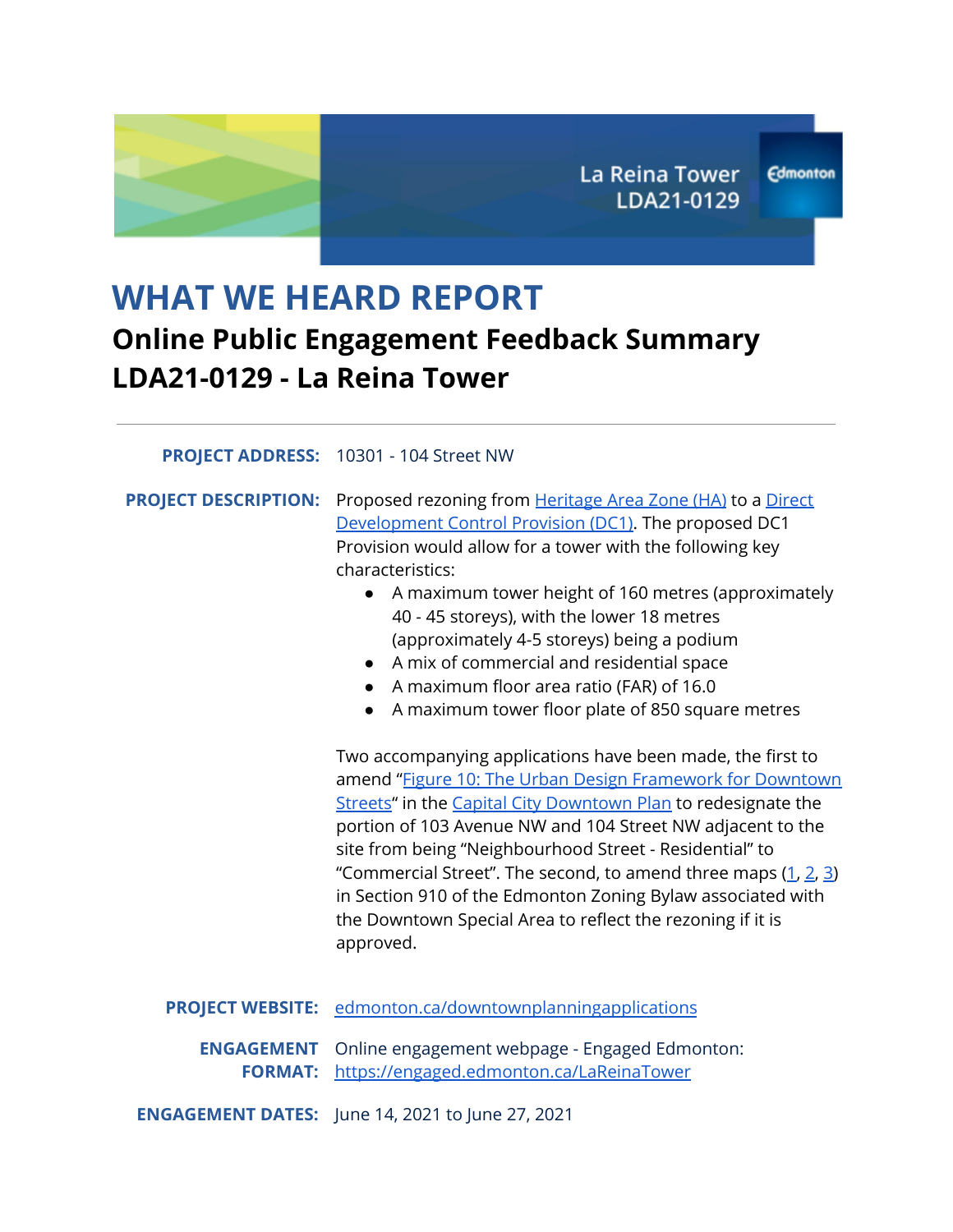# **WHAT WE HEARD REPORT Online Public Engagement Feedback Summary LDA21-0129 - La Reina Tower**

#### **PROJECT ADDRESS:** 10301 - 104 Street NW

**PROJECT DESCRIPTION:** Proposed rezoning from [Heritage](https://webdocs.edmonton.ca/InfraPlan/zoningbylaw/ZoningBylaw/Part2/Special_Areas/910_7_(HA)_Heritage_Area_Zone.htm) Area Zone (HA) to a [Direct](https://ehq-production-canada.s3.ca-central-1.amazonaws.com/2eae1fd96003bc5f41d185093cd74abbd5c37abf/original/1623438168/7b3acb1fb30516ab979d87206076c2bc_LDA21-0129_ProposedDC1Provision.pdf?X-Amz-Algorithm=AWS4-HMAC-SHA256&X-Amz-Credential=AKIAIBJCUKKD4ZO4WUUA%2F20210721%2Fca-central-1%2Fs3%2Faws4_request&X-Amz-Date=20210721T204154Z&X-Amz-Expires=300&X-Amz-SignedHeaders=host&X-Amz-Signature=b44af8895b25906e7a45b84efc3c75388162f7756f12b699812a02cb5940fe8e) [Development](https://ehq-production-canada.s3.ca-central-1.amazonaws.com/2eae1fd96003bc5f41d185093cd74abbd5c37abf/original/1623438168/7b3acb1fb30516ab979d87206076c2bc_LDA21-0129_ProposedDC1Provision.pdf?X-Amz-Algorithm=AWS4-HMAC-SHA256&X-Amz-Credential=AKIAIBJCUKKD4ZO4WUUA%2F20210721%2Fca-central-1%2Fs3%2Faws4_request&X-Amz-Date=20210721T204154Z&X-Amz-Expires=300&X-Amz-SignedHeaders=host&X-Amz-Signature=b44af8895b25906e7a45b84efc3c75388162f7756f12b699812a02cb5940fe8e) Control Provision (DC1). The proposed DC1 Provision would allow for a tower with the following key characteristics:

- A maximum tower height of 160 metres (approximately 40 - 45 storeys), with the lower 18 metres (approximately 4-5 storeys) being a podium
- A mix of commercial and residential space
- A maximum floor area ratio (FAR) of 16.0
- A maximum tower floor plate of 850 square metres

Two accompanying applications have been made, the first to amend "Figure 10: The Urban Design [Framework](https://ehq-production-canada.s3.ca-central-1.amazonaws.com/a7e609e213668b3a5e2c2e4b65b53572c049e543/original/1623083342/0d14b65eee442c275821936c95479bf9_Proposed_ARP_Amendment_Details.pdf?X-Amz-Algorithm=AWS4-HMAC-SHA256&X-Amz-Credential=AKIAIBJCUKKD4ZO4WUUA%2F20210721%2Fca-central-1%2Fs3%2Faws4_request&X-Amz-Date=20210721T204328Z&X-Amz-Expires=300&X-Amz-SignedHeaders=host&X-Amz-Signature=e4fe09168292e126e62f66c826139e75c6fef38bc4069ea36711215fe3a1c5d3) for Downtown [Streets"](https://ehq-production-canada.s3.ca-central-1.amazonaws.com/a7e609e213668b3a5e2c2e4b65b53572c049e543/original/1623083342/0d14b65eee442c275821936c95479bf9_Proposed_ARP_Amendment_Details.pdf?X-Amz-Algorithm=AWS4-HMAC-SHA256&X-Amz-Credential=AKIAIBJCUKKD4ZO4WUUA%2F20210721%2Fca-central-1%2Fs3%2Faws4_request&X-Amz-Date=20210721T204328Z&X-Amz-Expires=300&X-Amz-SignedHeaders=host&X-Amz-Signature=e4fe09168292e126e62f66c826139e75c6fef38bc4069ea36711215fe3a1c5d3) in the Capital City [Downtown](https://webdocs.edmonton.ca/infraplan/plans_in_effect/Capital_City_Downtown_Consolidation.pdf) Plan to redesignate the portion of 103 Avenue NW and 104 Street NW adjacent to the site from being "Neighbourhood Street - Residential" to "Commercial Street". The second, to amend three maps  $(1, 2, 3)$  $(1, 2, 3)$  $(1, 2, 3)$  $(1, 2, 3)$  $(1, 2, 3)$  $(1, 2, 3)$ in Section 910 of the Edmonton Zoning Bylaw associated with the Downtown Special Area to reflect the rezoning if it is approved.

**PROJECT WEBSITE:** [edmonton.ca/downtownplanningapplications](https://www.edmonton.ca/residential_neighbourhoods/neighbourhoods/downtown-planning-applications)

**ENGAGEMENT** Online engagement webpage - Engaged Edmonton: **FORMAT:** <https://engaged.edmonton.ca/LaReinaTower>

**ENGAGEMENT DATES:** June 14, 2021 to June 27, 2021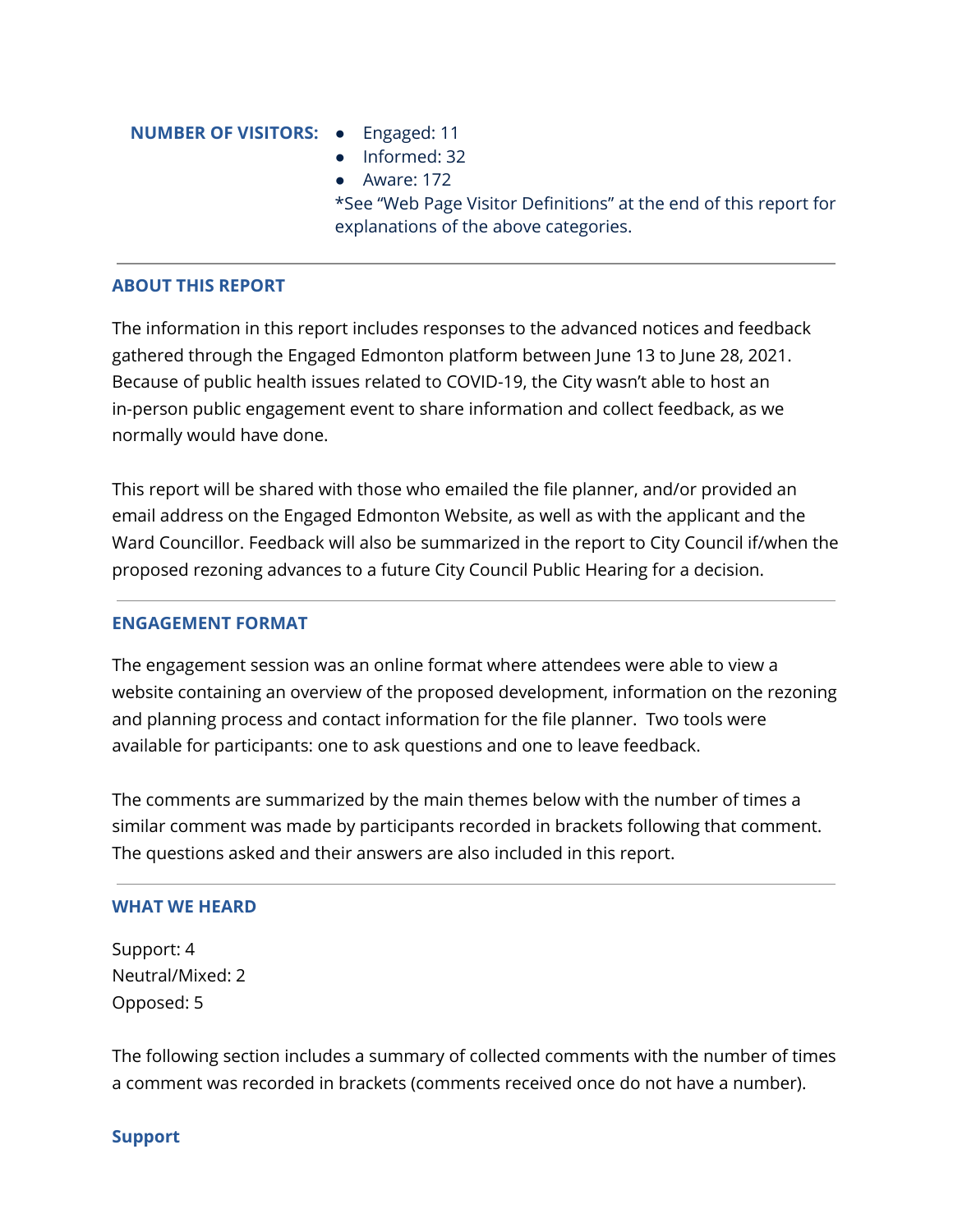#### **NUMBER OF VISITORS:** ● Engaged: 11

- 
- Informed: 32
- Aware: 172

\*See "Web Page Visitor Definitions" at the end of this report for explanations of the above categories.

### **ABOUT THIS REPORT**

The information in this report includes responses to the advanced notices and feedback gathered through the Engaged Edmonton platform between June 13 to June 28, 2021. Because of public health issues related to COVID-19, the City wasn't able to host an in-person public engagement event to share information and collect feedback, as we normally would have done.

This report will be shared with those who emailed the file planner, and/or provided an email address on the Engaged Edmonton Website, as well as with the applicant and the Ward Councillor. Feedback will also be summarized in the report to City Council if/when the proposed rezoning advances to a future City Council Public Hearing for a decision.

#### **ENGAGEMENT FORMAT**

The engagement session was an online format where attendees were able to view a website containing an overview of the proposed development, information on the rezoning and planning process and contact information for the file planner. Two tools were available for participants: one to ask questions and one to leave feedback.

The comments are summarized by the main themes below with the number of times a similar comment was made by participants recorded in brackets following that comment. The questions asked and their answers are also included in this report.

#### **WHAT WE HEARD**

Support: 4 Neutral/Mixed: 2 Opposed: 5

The following section includes a summary of collected comments with the number of times a comment was recorded in brackets (comments received once do not have a number).

#### **Support**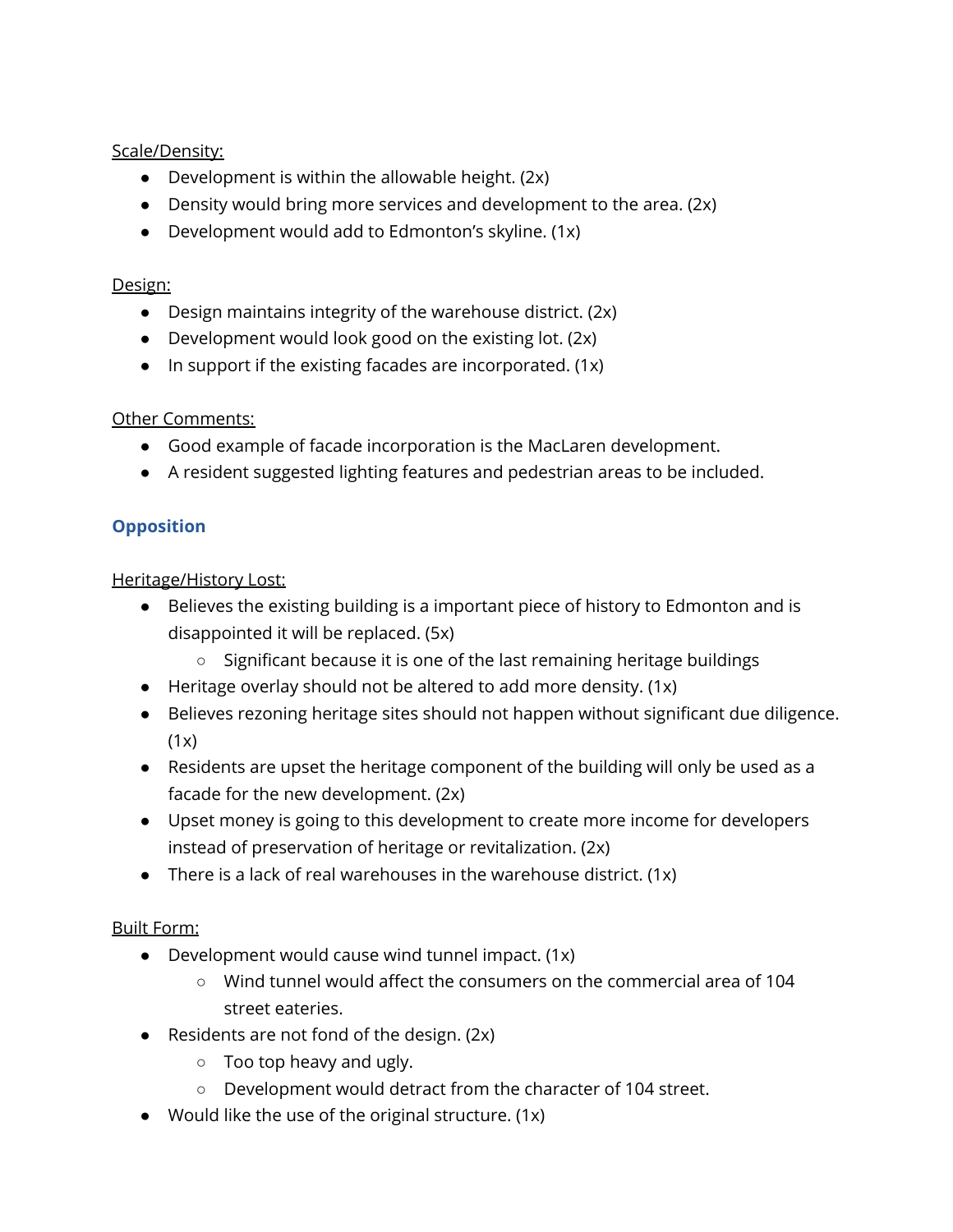## Scale/Density:

- Development is within the allowable height. (2x)
- Density would bring more services and development to the area. (2x)
- Development would add to Edmonton's skyline. (1x)

### Design:

- Design maintains integrity of the warehouse district. (2x)
- Development would look good on the existing lot. (2x)
- $\bullet$  In support if the existing facades are incorporated. (1x)

## **Other Comments:**

- Good example of facade incorporation is the MacLaren development.
- A resident suggested lighting features and pedestrian areas to be included.

# **Opposition**

## Heritage/History Lost:

- Believes the existing building is a important piece of history to Edmonton and is disappointed it will be replaced. (5x)
	- Significant because it is one of the last remaining heritage buildings
- Heritage overlay should not be altered to add more density. (1x)
- Believes rezoning heritage sites should not happen without significant due diligence.  $(1x)$
- Residents are upset the heritage component of the building will only be used as a facade for the new development. (2x)
- Upset money is going to this development to create more income for developers instead of preservation of heritage or revitalization. (2x)
- There is a lack of real warehouses in the warehouse district.  $(1x)$

# Built Form:

- Development would cause wind tunnel impact. (1x)
	- $\circ$  Wind tunnel would affect the consumers on the commercial area of 104 street eateries.
- Residents are not fond of the design.  $(2x)$ 
	- $\circ$  Too top heavy and ugly.
	- Development would detract from the character of 104 street.
- Would like the use of the original structure. (1x)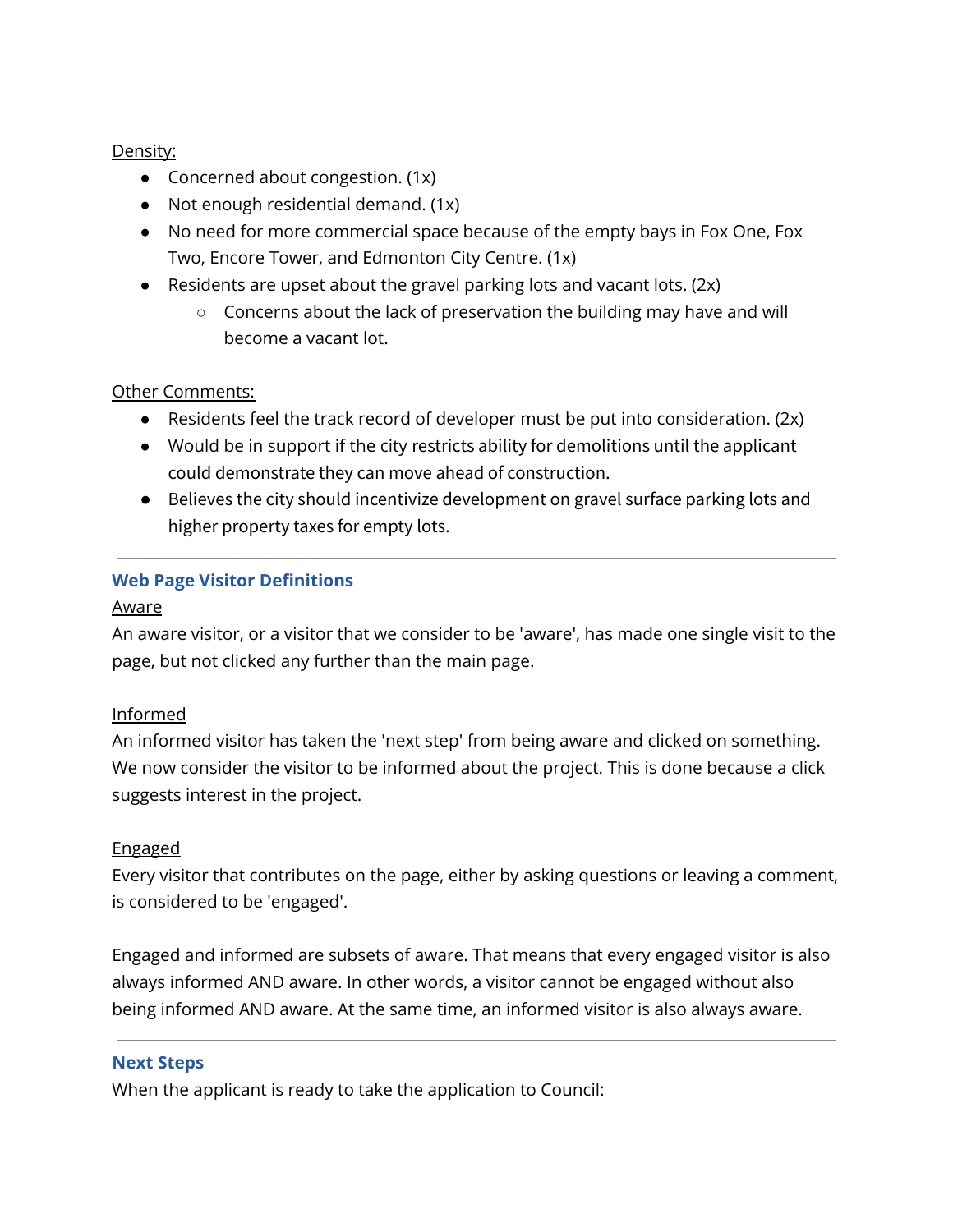## Density:

- Concerned about congestion. (1x)
- Not enough residential demand. (1x)
- No need for more commercial space because of the empty bays in Fox One, Fox Two, Encore Tower, and Edmonton City Centre. (1x)
- Residents are upset about the gravel parking lots and vacant lots. (2x)
	- Concerns about the lack of preservation the building may have and will become a vacant lot.

# Other Comments:

- Residents feel the track record of developer must be put into consideration. (2x)
- Would be in support if the city restricts ability for demolitions until the applicant could demonstrate they can move ahead of construction.
- Believes the city should incentivize development on gravel surface parking lots and higher property taxes for empty lots.

# **Web Page Visitor Definitions**

## Aware

An aware visitor, or a visitor that we consider to be 'aware', has made one single visit to the page, but not clicked any further than the main page.

# Informed

An informed visitor has taken the 'next step' from being aware and clicked on something. We now consider the visitor to be informed about the project. This is done because a click suggests interest in the project.

# Engaged

Every visitor that contributes on the page, either by asking questions or leaving a comment, is considered to be 'engaged'.

Engaged and informed are subsets of aware. That means that every engaged visitor is also always informed AND aware. In other words, a visitor cannot be engaged without also being informed AND aware. At the same time, an informed visitor is also always aware.

## **Next Steps**

When the applicant is ready to take the application to Council: